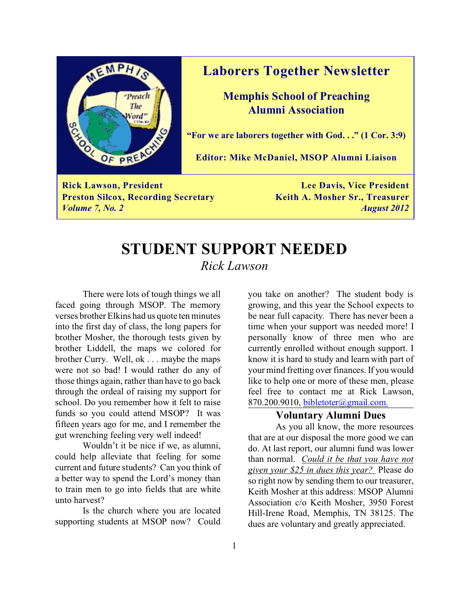

### **Laborers Together Newsletter**

**Memphis School of Preaching Alumni Association**

**"For we are laborers together with God. . ." (1 Cor. 3:9)**

**Editor: Mike McDaniel, MSOP Alumni Liaison**

**Rick Lawson, President Lee Davis, Vice President Preston Silcox, Recording Secretary Keith A. Mosher Sr., Treasurer** *Volume 7, No. 2 August 2012*

## **STUDENT SUPPORT NEEDED** *Rick Lawson*

There were lots of tough things we all faced going through MSOP. The memory verses brother Elkins had us quote ten minutes into the first day of class, the long papers for brother Mosher, the thorough tests given by brother Liddell, the maps we colored for brother Curry. Well, ok . . . maybe the maps were not so bad! I would rather do any of those things again, rather than have to go back through the ordeal of raising my support for school. Do you remember how it felt to raise funds so you could attend MSOP? It was fifteen years ago for me, and I remember the gut wrenching feeling very well indeed!

Wouldn't it be nice if we, as alumni, could help alleviate that feeling for some current and future students? Can you think of a better way to spend the Lord's money than to train men to go into fields that are white unto harvest?

Is the church where you are located supporting students at MSOP now? Could you take on another? The student body is growing, and this year the School expects to be near full capacity. There has never been a time when your support was needed more! I personally know of three men who are currently enrolled without enough support. I know it is hard to study and learn with part of your mind fretting over finances. If you would like to help one or more of these men, please feel free to contact me at Rick Lawson, 870.200.9010, [bibletoter@gmail.com.](mailto:bibletoter@gmail.com.)

#### **Voluntary Alumni Dues**

As you all know, the more resources that are at our disposal the more good we can do. At last report, our alumni fund was lower than normal. *Could it be that you have not given your \$25 in dues this year?* Please do so right now by sending them to our treasurer, Keith Mosher at this address: MSOP Alumni Association c/o Keith Mosher, 3950 Forest Hill-Irene Road, Memphis, TN 38125. The dues are voluntary and greatly appreciated.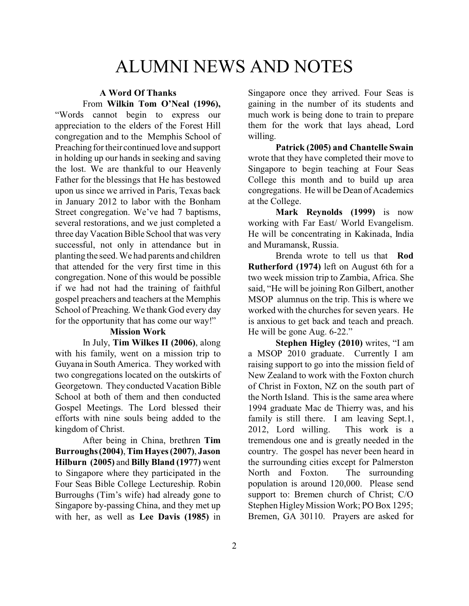# ALUMNI NEWS AND NOTES

#### **A Word Of Thanks** From **Wilkin Tom O'Neal (1996),**

"Words cannot begin to express our appreciation to the elders of the Forest Hill congregation and to the Memphis School of Preaching for their continued love and support in holding up our hands in seeking and saving the lost. We are thankful to our Heavenly Father for the blessings that He has bestowed upon us since we arrived in Paris, Texas back in January 2012 to labor with the Bonham Street congregation. We've had 7 baptisms, several restorations, and we just completed a three day Vacation Bible School that was very successful, not only in attendance but in planting the seed. We had parents and children that attended for the very first time in this congregation. None of this would be possible if we had not had the training of faithful gospel preachers and teachers at the Memphis School of Preaching. We thank God every day for the opportunity that has come our way!"

#### **Mission Work**

In July, **Tim Wilkes II (2006)**, along with his family, went on a mission trip to Guyana in South America. They worked with two congregations located on the outskirts of Georgetown. They conducted Vacation Bible School at both of them and then conducted Gospel Meetings. The Lord blessed their efforts with nine souls being added to the kingdom of Christ.

After being in China, brethren **Tim Burroughs (2004)**, **Tim Hayes (2007)**, **Jason Hilburn (2005)** and **Billy Bland (1977)** went to Singapore where they participated in the Four Seas Bible College Lectureship. Robin Burroughs (Tim's wife) had already gone to Singapore by-passing China, and they met up with her, as well as **Lee Davis (1985)** in Singapore once they arrived. Four Seas is gaining in the number of its students and much work is being done to train to prepare them for the work that lays ahead, Lord willing.

**Patrick (2005) and Chantelle Swain** wrote that they have completed their move to Singapore to begin teaching at Four Seas College this month and to build up area congregations. He will be Dean of Academics at the College.

**Mark Reynolds (1999)** is now working with Far East/ World Evangelism. He will be concentrating in Kakinada, India and Muramansk, Russia.

Brenda wrote to tell us that **Rod Rutherford (1974)** left on August 6th for a two week mission trip to Zambia, Africa. She said, "He will be joining Ron Gilbert, another MSOP alumnus on the trip. This is where we worked with the churches for seven years. He is anxious to get back and teach and preach. He will be gone Aug. 6-22."

**Stephen Higley (2010)** writes, "I am a MSOP 2010 graduate. Currently I am raising support to go into the mission field of New Zealand to work with the Foxton church of Christ in Foxton, NZ on the south part of the North Island. This is the same area where 1994 graduate Mac de Thierry was, and his family is still there. I am leaving Sept.1, 2012, Lord willing. This work is a tremendous one and is greatly needed in the country. The gospel has never been heard in the surrounding cities except for Palmerston<br>North and Foxton. The surrounding North and Foxton. population is around 120,000. Please send support to: Bremen church of Christ; C/O Stephen Higley Mission Work; PO Box 1295; Bremen, GA 30110. Prayers are asked for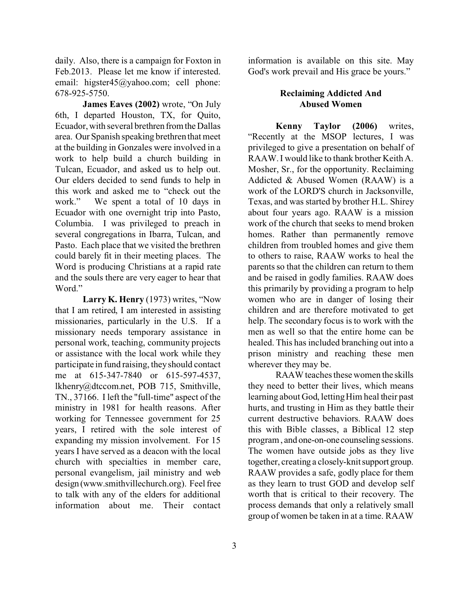daily. Also, there is a campaign for Foxton in Feb.2013. Please let me know if interested. email: higster45@yahoo.com; cell phone: 678-925-5750.

**James Eaves (2002)** wrote, "On July 6th, I departed Houston, TX, for Quito, Ecuador, with several brethren fromthe Dallas area. Our Spanish speaking brethren that meet at the building in Gonzales were involved in a work to help build a church building in Tulcan, Ecuador, and asked us to help out. Our elders decided to send funds to help in this work and asked me to "check out the work." We spent a total of 10 days in Ecuador with one overnight trip into Pasto, Columbia. I was privileged to preach in several congregations in Ibarra, Tulcan, and Pasto. Each place that we visited the brethren could barely fit in their meeting places. The Word is producing Christians at a rapid rate and the souls there are very eager to hear that Word."

**Larry K. Henry** (1973) writes, "Now that I am retired, I am interested in assisting missionaries, particularly in the U.S. If a missionary needs temporary assistance in personal work, teaching, community projects or assistance with the local work while they participate in fund raising, they should contact me at 615-347-7840 or 615-597-4537, lkhenry@dtccom.net, POB 715, Smithville, TN., 37166. I left the "full-time" aspect of the ministry in 1981 for health reasons. After working for Tennessee government for 25 years, I retired with the sole interest of expanding my mission involvement. For 15 years I have served as a deacon with the local church with specialties in member care, personal evangelism, jail ministry and web design (www.smithvillechurch.org). Feel free to talk with any of the elders for additional information about me. Their contact

information is available on this site. May God's work prevail and His grace be yours."

#### **Reclaiming Addicted And Abused Women**

**Kenny Taylor (2006)** writes, "Recently at the MSOP lectures, I was privileged to give a presentation on behalf of RAAW. I would like to thank brother Keith A. Mosher, Sr., for the opportunity. Reclaiming Addicted & Abused Women (RAAW) is a work of the LORD'S church in Jacksonville, Texas, and was started by brother H.L. Shirey about four years ago. RAAW is a mission work of the church that seeks to mend broken homes. Rather than permanently remove children from troubled homes and give them to others to raise, RAAW works to heal the parents so that the children can return to them and be raised in godly families. RAAW does this primarily by providing a program to help women who are in danger of losing their children and are therefore motivated to get help. The secondary focus is to work with the men as well so that the entire home can be healed. This has included branching out into a prison ministry and reaching these men wherever they may be.

RAAW teaches these women the skills they need to better their lives, which means learning about God, letting Him heal their past hurts, and trusting in Him as they battle their current destructive behaviors. RAAW does this with Bible classes, a Biblical 12 step program , and one-on-one counseling sessions. The women have outside jobs as they live together, creating a closely-knit support group. RAAW provides a safe, godly place for them as they learn to trust GOD and develop self worth that is critical to their recovery. The process demands that only a relatively small group of women be taken in at a time. RAAW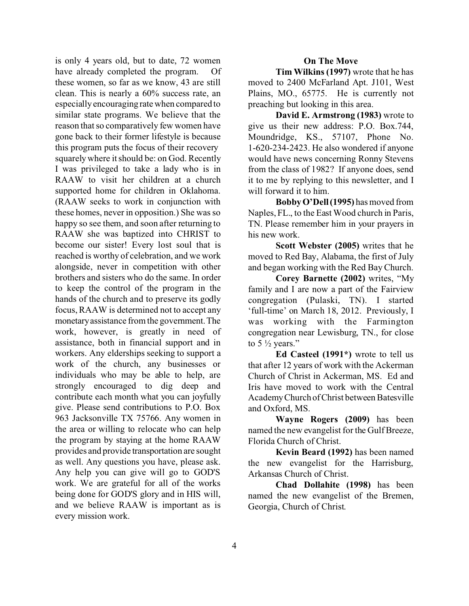is only 4 years old, but to date, 72 women have already completed the program. Of these women, so far as we know, 43 are still clean. This is nearly a 60% success rate, an especially encouraging rate when compared to similar state programs. We believe that the reason that so comparatively few women have gone back to their former lifestyle is because this program puts the focus of their recovery squarely where it should be: on God. Recently I was privileged to take a lady who is in RAAW to visit her children at a church supported home for children in Oklahoma. (RAAW seeks to work in conjunction with these homes, never in opposition.) She was so happy so see them, and soon after returning to RAAW she was baptized into CHRIST to become our sister! Every lost soul that is reached is worthy of celebration, and we work alongside, never in competition with other brothers and sisters who do the same. In order to keep the control of the program in the hands of the church and to preserve its godly focus, RAAW is determined not to accept any monetaryassistance from the government.The work, however, is greatly in need of assistance, both in financial support and in workers. Any elderships seeking to support a work of the church, any businesses or individuals who may be able to help, are strongly encouraged to dig deep and contribute each month what you can joyfully give. Please send contributions to P.O. Box 963 Jacksonville TX 75766. Any women in the area or willing to relocate who can help the program by staying at the home RAAW provides and provide transportation are sought as well. Any questions you have, please ask. Any help you can give will go to GOD'S work. We are grateful for all of the works being done for GOD'S glory and in HIS will, and we believe RAAW is important as is every mission work.

#### **On The Move**

**Tim Wilkins (1997)** wrote that he has moved to 2400 McFarland Apt. J101, West Plains, MO., 65775. He is currently not preaching but looking in this area.

**David E. Armstrong (1983)** wrote to give us their new address: P.O. Box.744, Moundridge, KS., 57107, Phone No. 1-620-234-2423. He also wondered if anyone would have news concerning Ronny Stevens from the class of 1982? If anyone does, send it to me by replying to this newsletter, and I will forward it to him.

**BobbyO'Dell(1995)** has moved from Naples, FL., to the East Wood church in Paris, TN. Please remember him in your prayers in his new work.

**Scott Webster (2005)** writes that he moved to Red Bay, Alabama, the first of July and began working with the Red Bay Church.

**Corey Barnette (2002)** writes, "My family and I are now a part of the Fairview congregation (Pulaski, TN). I started 'full-time' on March 18, 2012. Previously, I was working with the Farmington congregation near Lewisburg, TN., for close to 5  $\frac{1}{2}$  years."

**Ed Casteel (1991\*)** wrote to tell us that after 12 years of work with the Ackerman Church of Christ in Ackerman, MS. Ed and Iris have moved to work with the Central Academy Church ofChrist between Batesville and Oxford, MS.

**Wayne Rogers (2009)** has been named the new evangelist for the Gulf Breeze, Florida Church of Christ.

**Kevin Beard (1992)** has been named the new evangelist for the Harrisburg, Arkansas Church of Christ.

**Chad Dollahite (1998)** has been named the new evangelist of the Bremen, Georgia, Church of Christ.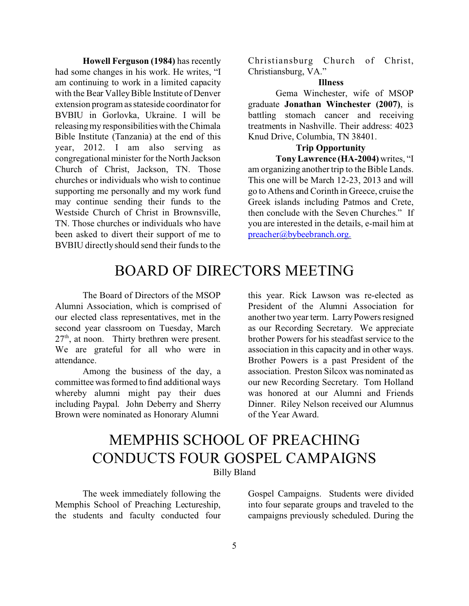**Howell Ferguson (1984)** has recently had some changes in his work. He writes, "I am continuing to work in a limited capacity with the Bear Valley Bible Institute of Denver extension program as stateside coordinator for BVBIU in Gorlovka, Ukraine. I will be releasing my responsibilitieswith the Chimala Bible Institute (Tanzania) at the end of this year, 2012. I am also serving as congregational minister for the North Jackson Church of Christ, Jackson, TN. Those churches or individuals who wish to continue supporting me personally and my work fund may continue sending their funds to the Westside Church of Christ in Brownsville, TN. Those churches or individuals who have been asked to divert their support of me to BVBIU directly should send their funds to the

Christiansburg Church of Christ, Christiansburg, VA."

#### **Illness**

Gema Winchester, wife of MSOP graduate **Jonathan Winchester (2007)**, is battling stomach cancer and receiving treatments in Nashville. Their address: 4023 Knud Drive, Columbia, TN 38401.

#### **Trip Opportunity**

**Tony Lawrence (HA-2004)** writes, "I am organizing another trip to the Bible Lands. This one will be March 12-23, 2013 and will go to Athens and Corinth in Greece, cruise the Greek islands including Patmos and Crete, then conclude with the Seven Churches." If you are interested in the details, e-mail him at [preacher@bybeebranch.org.](mailto:preacher@bybeebranch.org.)

## BOARD OF DIRECTORS MEETING

The Board of Directors of the MSOP Alumni Association, which is comprised of our elected class representatives, met in the second year classroom on Tuesday, March 27<sup>th</sup>, at noon. Thirty brethren were present. We are grateful for all who were in attendance.

Among the business of the day, a committee was formed to find additional ways whereby alumni might pay their dues including Paypal. John Deberry and Sherry Brown were nominated as Honorary Alumni

this year. Rick Lawson was re-elected as President of the Alumni Association for another two year term. Larry Powers resigned as our Recording Secretary. We appreciate brother Powers for his steadfast service to the association in this capacity and in other ways. Brother Powers is a past President of the association. Preston Silcox was nominated as our new Recording Secretary. Tom Holland was honored at our Alumni and Friends Dinner. Riley Nelson received our Alumnus of the Year Award.

## MEMPHIS SCHOOL OF PREACHING CONDUCTS FOUR GOSPEL CAMPAIGNS Billy Bland

The week immediately following the Memphis School of Preaching Lectureship, the students and faculty conducted four

Gospel Campaigns. Students were divided into four separate groups and traveled to the campaigns previously scheduled. During the